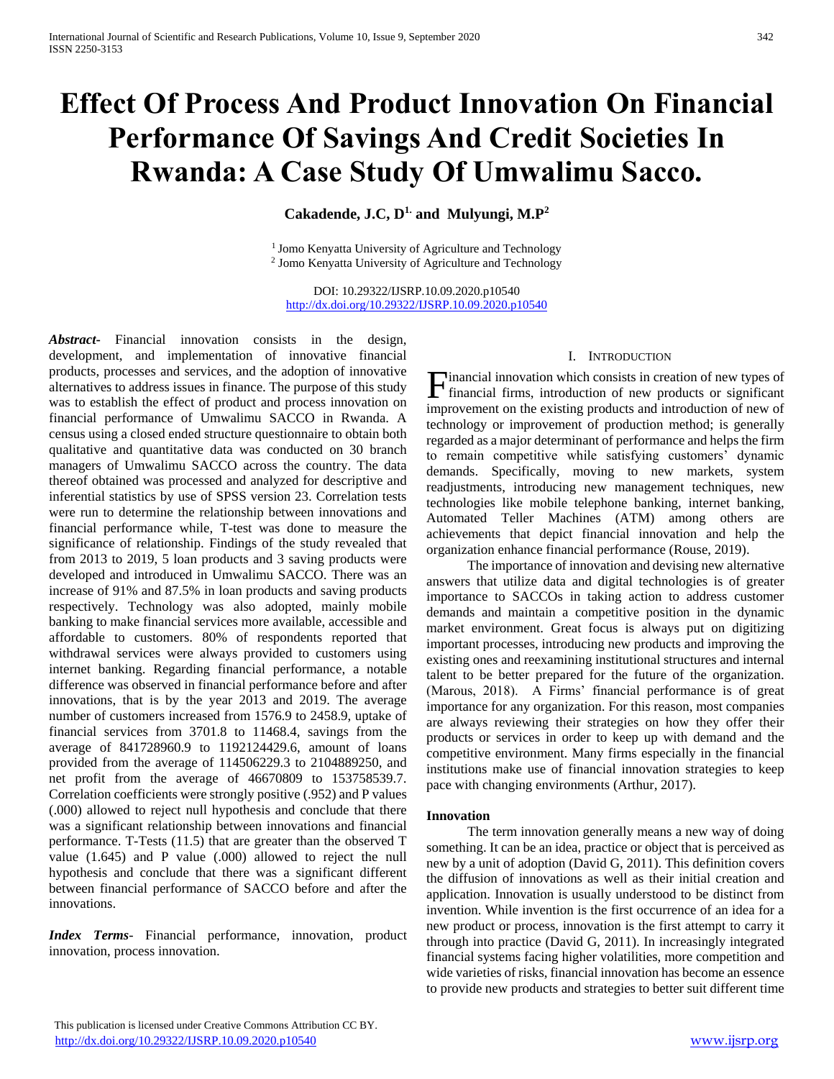# **Effect Of Process And Product Innovation On Financial Performance Of Savings And Credit Societies In Rwanda: A Case Study Of Umwalimu Sacco.**

# **Cakadende, J.C, D1. and Mulyungi, M.P<sup>2</sup>**

<sup>1</sup> Jomo Kenyatta University of Agriculture and Technology 2 Jomo Kenyatta University of Agriculture and Technology

DOI: 10.29322/IJSRP.10.09.2020.p10540 <http://dx.doi.org/10.29322/IJSRP.10.09.2020.p10540>

*Abstract***-** Financial innovation consists in the design, development, and implementation of innovative financial products, processes and services, and the adoption of innovative alternatives to address issues in finance. The purpose of this study was to establish the effect of product and process innovation on financial performance of Umwalimu SACCO in Rwanda. A census using a closed ended structure questionnaire to obtain both qualitative and quantitative data was conducted on 30 branch managers of Umwalimu SACCO across the country. The data thereof obtained was processed and analyzed for descriptive and inferential statistics by use of SPSS version 23. Correlation tests were run to determine the relationship between innovations and financial performance while, T-test was done to measure the significance of relationship. Findings of the study revealed that from 2013 to 2019, 5 loan products and 3 saving products were developed and introduced in Umwalimu SACCO. There was an increase of 91% and 87.5% in loan products and saving products respectively. Technology was also adopted, mainly mobile banking to make financial services more available, accessible and affordable to customers. 80% of respondents reported that withdrawal services were always provided to customers using internet banking. Regarding financial performance, a notable difference was observed in financial performance before and after innovations, that is by the year 2013 and 2019. The average number of customers increased from 1576.9 to 2458.9, uptake of financial services from 3701.8 to 11468.4, savings from the average of 841728960.9 to 1192124429.6, amount of loans provided from the average of 114506229.3 to 2104889250, and net profit from the average of 46670809 to 153758539.7. Correlation coefficients were strongly positive (.952) and P values (.000) allowed to reject null hypothesis and conclude that there was a significant relationship between innovations and financial performance. T-Tests (11.5) that are greater than the observed T value (1.645) and P value (.000) allowed to reject the null hypothesis and conclude that there was a significant different between financial performance of SACCO before and after the innovations.

*Index Terms*- Financial performance, innovation, product innovation, process innovation.

## I. INTRODUCTION

inancial innovation which consists in creation of new types of Financial innovation which consists in creation of new types of financial firms, introduction of new products or significant improvement on the existing products and introduction of new of technology or improvement of production method; is generally regarded as a major determinant of performance and helps the firm to remain competitive while satisfying customers' dynamic demands. Specifically, moving to new markets, system readjustments, introducing new management techniques, new technologies like mobile telephone banking, internet banking, Automated Teller Machines (ATM) among others are achievements that depict financial innovation and help the organization enhance financial performance (Rouse, 2019).

 The importance of innovation and devising new alternative answers that utilize data and digital technologies is of greater importance to SACCOs in taking action to address customer demands and maintain a competitive position in the dynamic market environment. Great focus is always put on digitizing important processes, introducing new products and improving the existing ones and reexamining institutional structures and internal talent to be better prepared for the future of the organization. (Marous, 2018). A Firms' financial performance is of great importance for any organization. For this reason, most companies are always reviewing their strategies on how they offer their products or services in order to keep up with demand and the competitive environment. Many firms especially in the financial institutions make use of financial innovation strategies to keep pace with changing environments (Arthur, 2017).

#### **Innovation**

 The term innovation generally means a new way of doing something. It can be an idea, practice or object that is perceived as new by a unit of adoption (David G, 2011). This definition covers the diffusion of innovations as well as their initial creation and application. Innovation is usually understood to be distinct from invention. While invention is the first occurrence of an idea for a new product or process, innovation is the first attempt to carry it through into practice (David G, 2011). In increasingly integrated financial systems facing higher volatilities, more competition and wide varieties of risks, financial innovation has become an essence to provide new products and strategies to better suit different time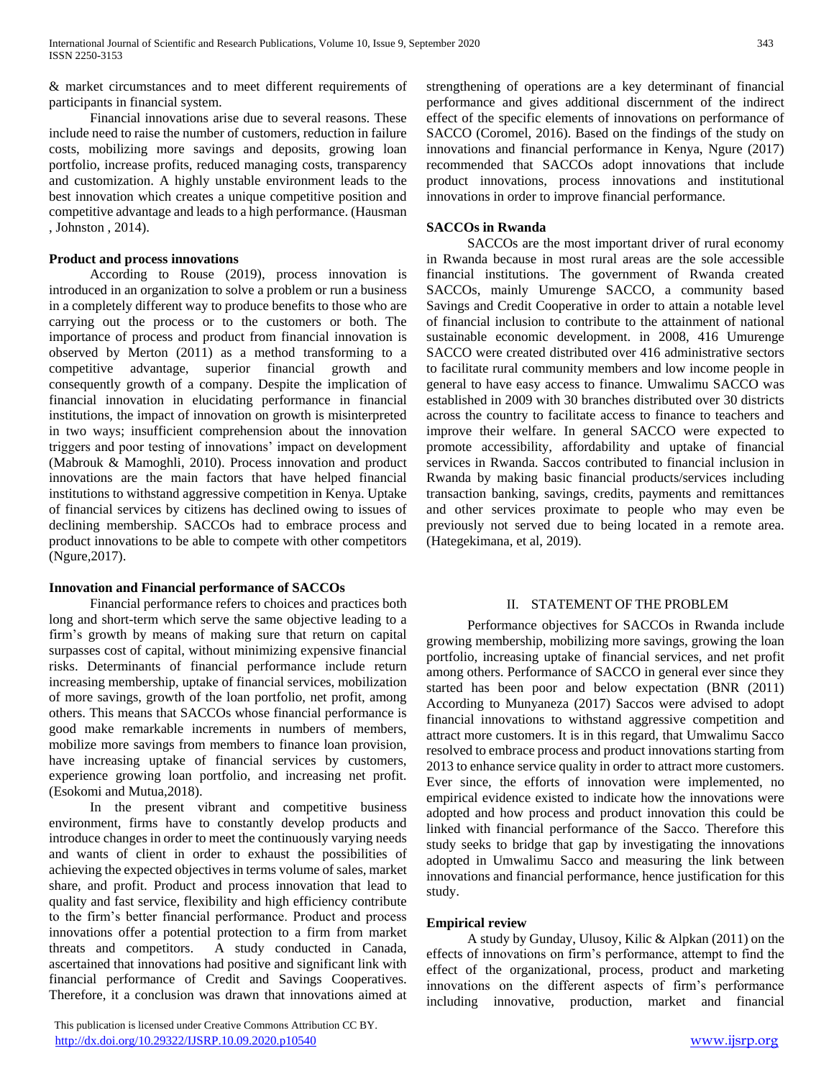& market circumstances and to meet different requirements of participants in financial system.

 Financial innovations arise due to several reasons. These include need to raise the number of customers, reduction in failure costs, mobilizing more savings and deposits, growing loan portfolio, increase profits, reduced managing costs, transparency and customization. A highly unstable environment leads to the best innovation which creates a unique competitive position and competitive advantage and leads to a high performance. (Hausman , Johnston , 2014).

## **Product and process innovations**

 According to Rouse (2019), process innovation is introduced in an organization to solve a problem or run a business in a completely different way to produce benefits to those who are carrying out the process or to the customers or both. The importance of process and product from financial innovation is observed by Merton (2011) as a method transforming to a competitive advantage, superior financial growth and consequently growth of a company. Despite the implication of financial innovation in elucidating performance in financial institutions, the impact of innovation on growth is misinterpreted in two ways; insufficient comprehension about the innovation triggers and poor testing of innovations' impact on development (Mabrouk & Mamoghli, 2010). Process innovation and product innovations are the main factors that have helped financial institutions to withstand aggressive competition in Kenya. Uptake of financial services by citizens has declined owing to issues of declining membership. SACCOs had to embrace process and product innovations to be able to compete with other competitors (Ngure,2017).

# **Innovation and Financial performance of SACCOs**

 Financial performance refers to choices and practices both long and short-term which serve the same objective leading to a firm's growth by means of making sure that return on capital surpasses cost of capital, without minimizing expensive financial risks. Determinants of financial performance include return increasing membership, uptake of financial services, mobilization of more savings, growth of the loan portfolio, net profit, among others. This means that SACCOs whose financial performance is good make remarkable increments in numbers of members, mobilize more savings from members to finance loan provision, have increasing uptake of financial services by customers, experience growing loan portfolio, and increasing net profit. (Esokomi and Mutua,2018).

 In the present vibrant and competitive business environment, firms have to constantly develop products and introduce changes in order to meet the continuously varying needs and wants of client in order to exhaust the possibilities of achieving the expected objectives in terms volume of sales, market share, and profit. Product and process innovation that lead to quality and fast service, flexibility and high efficiency contribute to the firm's better financial performance. Product and process innovations offer a potential protection to a firm from market threats and competitors. A study conducted in Canada, ascertained that innovations had positive and significant link with financial performance of Credit and Savings Cooperatives. Therefore, it a conclusion was drawn that innovations aimed at

 This publication is licensed under Creative Commons Attribution CC BY. <http://dx.doi.org/10.29322/IJSRP.10.09.2020.p10540> [www.ijsrp.org](http://ijsrp.org/)

strengthening of operations are a key determinant of financial performance and gives additional discernment of the indirect effect of the specific elements of innovations on performance of SACCO (Coromel, 2016). Based on the findings of the study on innovations and financial performance in Kenya, Ngure (2017) recommended that SACCOs adopt innovations that include product innovations, process innovations and institutional innovations in order to improve financial performance.

## **SACCOs in Rwanda**

 SACCOs are the most important driver of rural economy in Rwanda because in most rural areas are the sole accessible financial institutions. The government of Rwanda created SACCOs, mainly Umurenge SACCO, a community based Savings and Credit Cooperative in order to attain a notable level of financial inclusion to contribute to the attainment of national sustainable economic development. in 2008, 416 Umurenge SACCO were created distributed over 416 administrative sectors to facilitate rural community members and low income people in general to have easy access to finance. Umwalimu SACCO was established in 2009 with 30 branches distributed over 30 districts across the country to facilitate access to finance to teachers and improve their welfare. In general SACCO were expected to promote accessibility, affordability and uptake of financial services in Rwanda. Saccos contributed to financial inclusion in Rwanda by making basic financial products/services including transaction banking, savings, credits, payments and remittances and other services proximate to people who may even be previously not served due to being located in a remote area. (Hategekimana, et al, 2019).

#### II. STATEMENT OF THE PROBLEM

 Performance objectives for SACCOs in Rwanda include growing membership, mobilizing more savings, growing the loan portfolio, increasing uptake of financial services, and net profit among others. Performance of SACCO in general ever since they started has been poor and below expectation (BNR (2011) According to Munyaneza (2017) Saccos were advised to adopt financial innovations to withstand aggressive competition and attract more customers. It is in this regard, that Umwalimu Sacco resolved to embrace process and product innovations starting from 2013 to enhance service quality in order to attract more customers. Ever since, the efforts of innovation were implemented, no empirical evidence existed to indicate how the innovations were adopted and how process and product innovation this could be linked with financial performance of the Sacco. Therefore this study seeks to bridge that gap by investigating the innovations adopted in Umwalimu Sacco and measuring the link between innovations and financial performance, hence justification for this study.

#### **Empirical review**

 A study by Gunday, Ulusoy, Kilic & Alpkan (2011) on the effects of innovations on firm's performance, attempt to find the effect of the organizational, process, product and marketing innovations on the different aspects of firm's performance including innovative, production, market and financial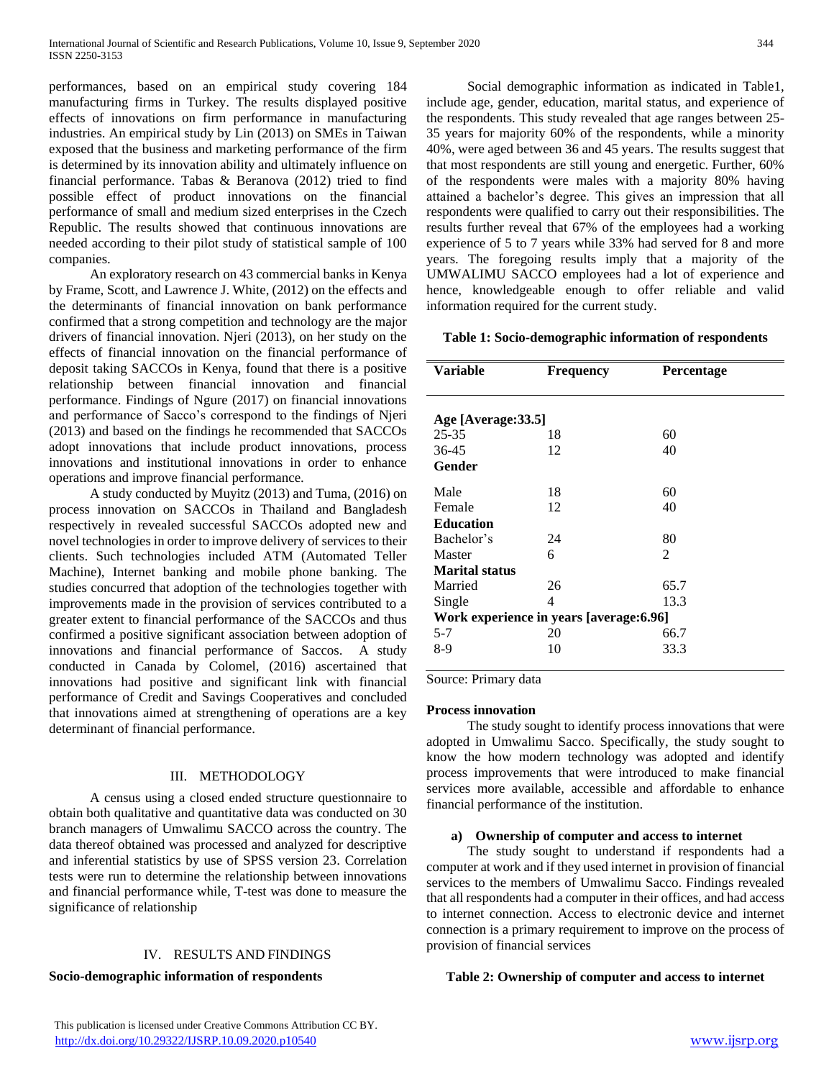performances, based on an empirical study covering 184 manufacturing firms in Turkey. The results displayed positive effects of innovations on firm performance in manufacturing industries. An empirical study by Lin (2013) on SMEs in Taiwan exposed that the business and marketing performance of the firm is determined by its innovation ability and ultimately influence on financial performance. Tabas & Beranova (2012) tried to find possible effect of product innovations on the financial performance of small and medium sized enterprises in the Czech Republic. The results showed that continuous innovations are needed according to their pilot study of statistical sample of 100 companies.

 An exploratory research on 43 commercial banks in Kenya by Frame, Scott, and Lawrence J. White, (2012) on the effects and the determinants of financial innovation on bank performance confirmed that a strong competition and technology are the major drivers of financial innovation. Njeri (2013), on her study on the effects of financial innovation on the financial performance of deposit taking SACCOs in Kenya, found that there is a positive relationship between financial innovation and financial performance. Findings of Ngure (2017) on financial innovations and performance of Sacco's correspond to the findings of Njeri (2013) and based on the findings he recommended that SACCOs adopt innovations that include product innovations, process innovations and institutional innovations in order to enhance operations and improve financial performance.

 A study conducted by Muyitz (2013) and Tuma, (2016) on process innovation on SACCOs in Thailand and Bangladesh respectively in revealed successful SACCOs adopted new and novel technologies in order to improve delivery of services to their clients. Such technologies included ATM (Automated Teller Machine), Internet banking and mobile phone banking. The studies concurred that adoption of the technologies together with improvements made in the provision of services contributed to a greater extent to financial performance of the SACCOs and thus confirmed a positive significant association between adoption of innovations and financial performance of Saccos. A study conducted in Canada by Colomel, (2016) ascertained that innovations had positive and significant link with financial performance of Credit and Savings Cooperatives and concluded that innovations aimed at strengthening of operations are a key determinant of financial performance.

# III. METHODOLOGY

 A census using a closed ended structure questionnaire to obtain both qualitative and quantitative data was conducted on 30 branch managers of Umwalimu SACCO across the country. The data thereof obtained was processed and analyzed for descriptive and inferential statistics by use of SPSS version 23. Correlation tests were run to determine the relationship between innovations and financial performance while, T-test was done to measure the significance of relationship

# IV. RESULTS AND FINDINGS

**Socio-demographic information of respondents**

 Social demographic information as indicated in Table1, include age, gender, education, marital status, and experience of the respondents. This study revealed that age ranges between 25- 35 years for majority 60% of the respondents, while a minority 40%, were aged between 36 and 45 years. The results suggest that that most respondents are still young and energetic. Further, 60% of the respondents were males with a majority 80% having attained a bachelor's degree. This gives an impression that all respondents were qualified to carry out their responsibilities. The results further reveal that 67% of the employees had a working experience of 5 to 7 years while 33% had served for 8 and more years. The foregoing results imply that a majority of the UMWALIMU SACCO employees had a lot of experience and hence, knowledgeable enough to offer reliable and valid information required for the current study.

# **Table 1: Socio-demographic information of respondents**

| Variable                                 | <b>Frequency</b> | <b>Percentage</b> |  |
|------------------------------------------|------------------|-------------------|--|
|                                          |                  |                   |  |
| Age [Average: 33.5]                      |                  |                   |  |
| $25 - 35$                                | 18               | 60                |  |
| $36 - 45$                                | 12               | 40                |  |
| <b>Gender</b>                            |                  |                   |  |
| Male                                     | 18               | 60                |  |
| Female                                   | 12               | 40                |  |
| <b>Education</b>                         |                  |                   |  |
| Bachelor's                               | 24               | 80                |  |
| Master                                   | 6                | 2                 |  |
| <b>Marital status</b>                    |                  |                   |  |
| Married                                  | 26               | 65.7              |  |
| Single                                   | 4                | 13.3              |  |
| Work experience in years [average: 6.96] |                  |                   |  |
| $5 - 7$                                  | 20               | 66.7              |  |
| 8-9                                      | 10               | 33.3              |  |
|                                          |                  |                   |  |

Source: Primary data

# **Process innovation**

 The study sought to identify process innovations that were adopted in Umwalimu Sacco. Specifically, the study sought to know the how modern technology was adopted and identify process improvements that were introduced to make financial services more available, accessible and affordable to enhance financial performance of the institution.

#### **a) Ownership of computer and access to internet**

 The study sought to understand if respondents had a computer at work and if they used internet in provision of financial services to the members of Umwalimu Sacco. Findings revealed that all respondents had a computer in their offices, and had access to internet connection. Access to electronic device and internet connection is a primary requirement to improve on the process of provision of financial services

# **Table 2: Ownership of computer and access to internet**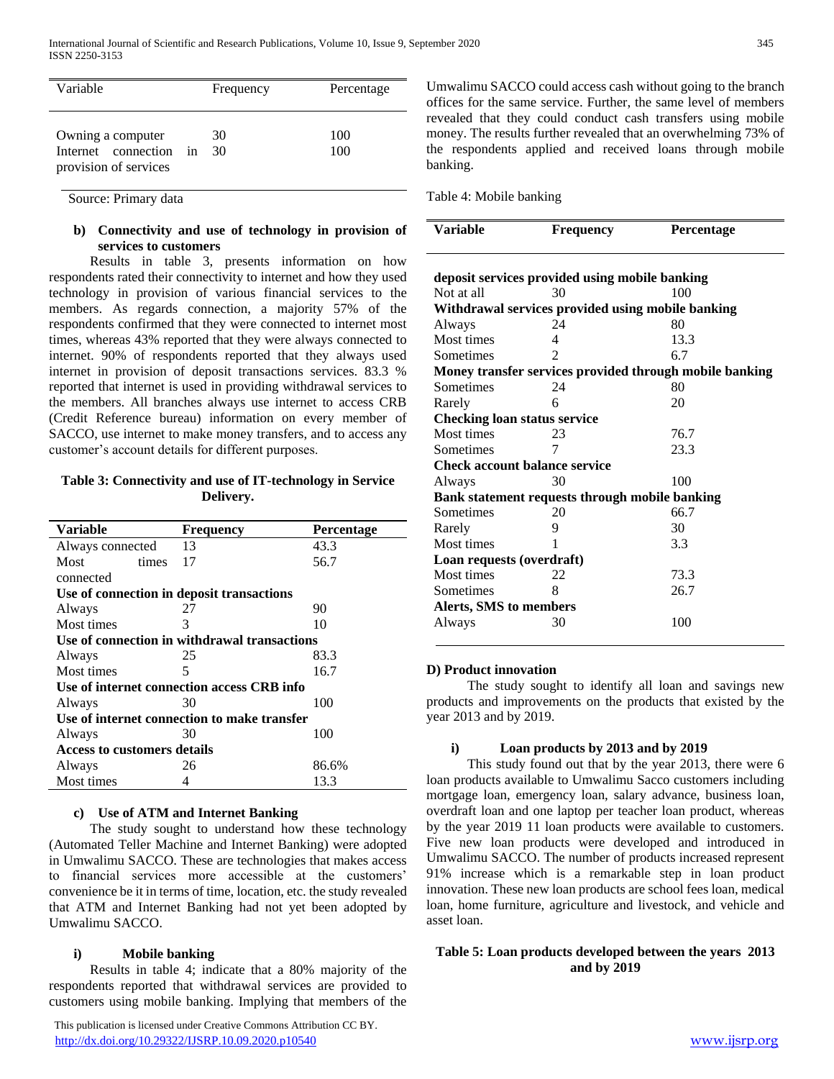| Variable                                                          |    | Frequency | Percentage |
|-------------------------------------------------------------------|----|-----------|------------|
| Owning a computer<br>Internet connection<br>provision of services | in | 30<br>30  | 100<br>100 |

Source: Primary data

# **b) Connectivity and use of technology in provision of services to customers**

 Results in table 3, presents information on how respondents rated their connectivity to internet and how they used technology in provision of various financial services to the members. As regards connection, a majority 57% of the respondents confirmed that they were connected to internet most times, whereas 43% reported that they were always connected to internet. 90% of respondents reported that they always used internet in provision of deposit transactions services. 83.3 % reported that internet is used in providing withdrawal services to the members. All branches always use internet to access CRB (Credit Reference bureau) information on every member of SACCO, use internet to make money transfers, and to access any customer's account details for different purposes.

# **Table 3: Connectivity and use of IT-technology in Service Delivery.**

| <b>Variable</b>                    | <b>Frequency</b>                             | Percentage |  |  |
|------------------------------------|----------------------------------------------|------------|--|--|
| Always connected                   | 13                                           | 43.3       |  |  |
| Most<br>times                      | 17                                           | 56.7       |  |  |
| connected                          |                                              |            |  |  |
|                                    | Use of connection in deposit transactions    |            |  |  |
|                                    |                                              |            |  |  |
| Always                             | 27                                           | 90         |  |  |
| Most times                         | 3                                            | 10         |  |  |
|                                    | Use of connection in withdrawal transactions |            |  |  |
| Always                             | 25                                           | 83.3       |  |  |
| Most times                         | 5                                            | 16.7       |  |  |
|                                    | Use of internet connection access CRB info   |            |  |  |
| Always                             | 30                                           | 100        |  |  |
|                                    | Use of internet connection to make transfer  |            |  |  |
| Always                             | 30                                           | 100        |  |  |
| <b>Access to customers details</b> |                                              |            |  |  |
| Always                             | 26                                           | 86.6%      |  |  |
| Most times                         | 4                                            | 13.3       |  |  |

# **c) Use of ATM and Internet Banking**

 The study sought to understand how these technology (Automated Teller Machine and Internet Banking) were adopted in Umwalimu SACCO. These are technologies that makes access to financial services more accessible at the customers' convenience be it in terms of time, location, etc. the study revealed that ATM and Internet Banking had not yet been adopted by Umwalimu SACCO.

# **i) Mobile banking**

 Results in table 4; indicate that a 80% majority of the respondents reported that withdrawal services are provided to customers using mobile banking. Implying that members of the

 This publication is licensed under Creative Commons Attribution CC BY. <http://dx.doi.org/10.29322/IJSRP.10.09.2020.p10540> [www.ijsrp.org](http://ijsrp.org/)

Umwalimu SACCO could access cash without going to the branch offices for the same service. Further, the same level of members revealed that they could conduct cash transfers using mobile money. The results further revealed that an overwhelming 73% of the respondents applied and received loans through mobile banking.

Table 4: Mobile banking

| <b>Variable</b>                      | <b>Frequency</b>                                  | <b>Percentage</b>                                       |
|--------------------------------------|---------------------------------------------------|---------------------------------------------------------|
|                                      | deposit services provided using mobile banking    |                                                         |
| Not at all                           | 30                                                | 100                                                     |
|                                      | Withdrawal services provided using mobile banking |                                                         |
| Always                               | 24                                                | 80                                                      |
| Most times                           | $\overline{4}$                                    | 13.3                                                    |
| Sometimes                            | $\mathcal{L}$                                     | 6.7                                                     |
|                                      |                                                   | Money transfer services provided through mobile banking |
| <b>Sometimes</b>                     | 24                                                | 80                                                      |
| Rarely                               | 6                                                 | 20                                                      |
| <b>Checking loan status service</b>  |                                                   |                                                         |
| Most times                           | 23                                                | 76.7                                                    |
| <b>Sometimes</b>                     | 7                                                 | 23.3                                                    |
| <b>Check account balance service</b> |                                                   |                                                         |
| Always                               | 30                                                | 100                                                     |
|                                      | Bank statement requests through mobile banking    |                                                         |
| Sometimes                            | 20                                                | 66.7                                                    |
| Rarely                               | 9                                                 | 30                                                      |
| Most times                           | 1                                                 | 3.3                                                     |
| Loan requests (overdraft)            |                                                   |                                                         |
| Most times                           | 22                                                | 73.3                                                    |
| Sometimes                            | 8                                                 | 26.7                                                    |
| Alerts, SMS to members               |                                                   |                                                         |
| Always                               | 30                                                | 100                                                     |

# **D) Product innovation**

 The study sought to identify all loan and savings new products and improvements on the products that existed by the year 2013 and by 2019.

# **i) Loan products by 2013 and by 2019**

 This study found out that by the year 2013, there were 6 loan products available to Umwalimu Sacco customers including mortgage loan, emergency loan, salary advance, business loan, overdraft loan and one laptop per teacher loan product, whereas by the year 2019 11 loan products were available to customers. Five new loan products were developed and introduced in Umwalimu SACCO. The number of products increased represent 91% increase which is a remarkable step in loan product innovation. These new loan products are school fees loan, medical loan, home furniture, agriculture and livestock, and vehicle and asset loan.

# **Table 5: Loan products developed between the years 2013 and by 2019**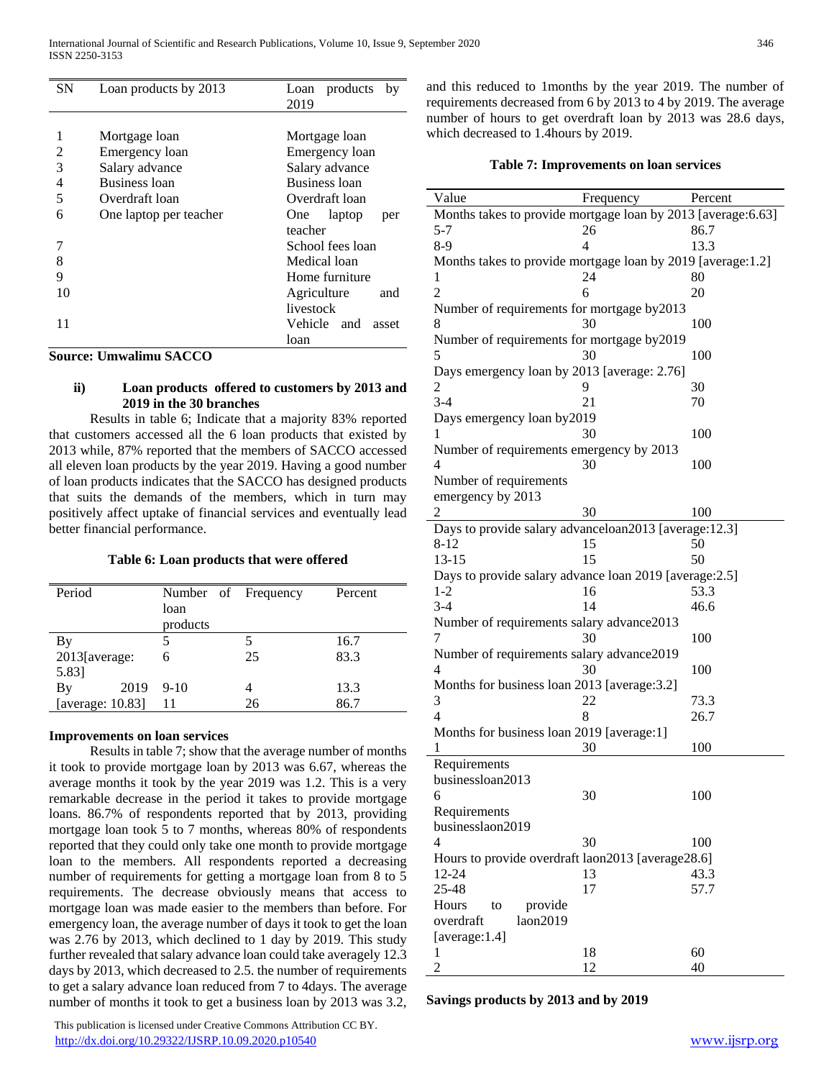| <b>SN</b> | Loan products by 2013  | products<br>Loan<br>by<br>2019 |
|-----------|------------------------|--------------------------------|
|           |                        |                                |
|           | Mortgage loan          | Mortgage loan                  |
| 2         | Emergency loan         | Emergency loan                 |
| 3         | Salary advance         | Salary advance                 |
| 4         | <b>Business loan</b>   | Business loan                  |
| 5         | Overdraft loan         | Overdraft loan                 |
| 6         | One laptop per teacher | laptop<br>One<br>per           |
|           |                        | teacher                        |
|           |                        | School fees loan               |
| 8         |                        | Medical loan                   |
| 9         |                        | Home furniture                 |
| 10        |                        | Agriculture<br>and             |
|           |                        | livestock                      |
| 11        |                        | Vehicle and<br>asset           |
|           |                        | loan                           |

**Source: Umwalimu SACCO**

# **ii) Loan products offered to customers by 2013 and 2019 in the 30 branches**

 Results in table 6; Indicate that a majority 83% reported that customers accessed all the 6 loan products that existed by 2013 while, 87% reported that the members of SACCO accessed all eleven loan products by the year 2019. Having a good number of loan products indicates that the SACCO has designed products that suits the demands of the members, which in turn may positively affect uptake of financial services and eventually lead better financial performance.

#### **Table 6: Loan products that were offered**

| Period           | Number of Frequency |    | Percent |
|------------------|---------------------|----|---------|
|                  | loan                |    |         |
|                  | products            |    |         |
| By               |                     |    | 16.7    |
| $2013$ [average: | 6                   | 25 | 83.3    |
| 5.83]            |                     |    |         |
| 2019<br>By       | $9-10$              |    | 13.3    |
| [average: 10.83] | 11                  | 26 | 86.7    |

#### **Improvements on loan services**

 Results in table 7; show that the average number of months it took to provide mortgage loan by 2013 was 6.67, whereas the average months it took by the year 2019 was 1.2. This is a very remarkable decrease in the period it takes to provide mortgage loans. 86.7% of respondents reported that by 2013, providing mortgage loan took 5 to 7 months, whereas 80% of respondents reported that they could only take one month to provide mortgage loan to the members. All respondents reported a decreasing number of requirements for getting a mortgage loan from 8 to 5 requirements. The decrease obviously means that access to mortgage loan was made easier to the members than before. For emergency loan, the average number of days it took to get the loan was 2.76 by 2013, which declined to 1 day by 2019. This study further revealed that salary advance loan could take averagely 12.3 days by 2013, which decreased to 2.5. the number of requirements to get a salary advance loan reduced from 7 to 4days. The average number of months it took to get a business loan by 2013 was 3.2,

 This publication is licensed under Creative Commons Attribution CC BY. <http://dx.doi.org/10.29322/IJSRP.10.09.2020.p10540> [www.ijsrp.org](http://ijsrp.org/)

and this reduced to 1months by the year 2019. The number of requirements decreased from 6 by 2013 to 4 by 2019. The average number of hours to get overdraft loan by 2013 was 28.6 days, which decreased to 1.4hours by 2019.

## **Table 7: Improvements on loan services**

| Value                                                         | Frequency | Percent |
|---------------------------------------------------------------|-----------|---------|
| Months takes to provide mortgage loan by 2013 [average: 6.63] |           |         |
| 5-7                                                           | 26        | 86.7    |
| $8-9$                                                         | 4         | 13.3    |
| Months takes to provide mortgage loan by 2019 [average:1.2]   |           |         |
| 1                                                             | 24        | 80      |
| $\overline{c}$                                                | 6         | 20      |
| Number of requirements for mortgage by2013                    |           |         |
| 8                                                             | 30        | 100     |
| Number of requirements for mortgage by2019                    |           |         |
| 5                                                             | 30        | 100     |
| Days emergency loan by 2013 [average: 2.76]                   |           |         |
| 2                                                             | 9         | 30      |
| $3-4$                                                         | 21        | 70      |
| Days emergency loan by 2019                                   |           |         |
| 1                                                             | 30        | 100     |
| Number of requirements emergency by 2013                      |           |         |
| 4                                                             | 30        | 100     |
| Number of requirements                                        |           |         |
| emergency by 2013                                             |           |         |
| $\overline{2}$                                                | 30        | 100     |
| Days to provide salary advanceloan2013 [average:12.3]         |           |         |
| 8-12                                                          | 15        | 50      |
| $13 - 15$                                                     | 15        | 50      |
| Days to provide salary advance loan 2019 [average: 2.5]       |           |         |
| $1-2$                                                         | 16        | 53.3    |
| $3-4$                                                         | 14        | 46.6    |
| Number of requirements salary advance2013                     |           |         |
| 7                                                             | 30        | 100     |
| Number of requirements salary advance2019                     |           |         |
| 4                                                             | 30        | 100     |
| Months for business loan 2013 [average: 3.2]                  |           |         |
| 3                                                             | 22        | 73.3    |
| 4                                                             | 8         | 26.7    |
| Months for business loan 2019 [average:1]                     |           |         |
| 1                                                             | 30        | 100     |
| Requirements                                                  |           |         |
| businessloan2013                                              |           |         |
| 6                                                             | 30        | 100     |
| Requirements                                                  |           |         |
| businesslaon2019                                              |           |         |
| 4                                                             | 30        | 100     |
| Hours to provide overdraft laon2013 [average28.6]             |           |         |
| 12-24                                                         | 13        | 43.3    |
| 25-48                                                         | 17        | 57.7    |
| Hours<br>provide<br>to                                        |           |         |
| laon2019<br>overdraft                                         |           |         |
| [average:1.4]                                                 |           |         |
| 1                                                             | 18        | 60      |
| 2                                                             | 12        | 40      |

**Savings products by 2013 and by 2019**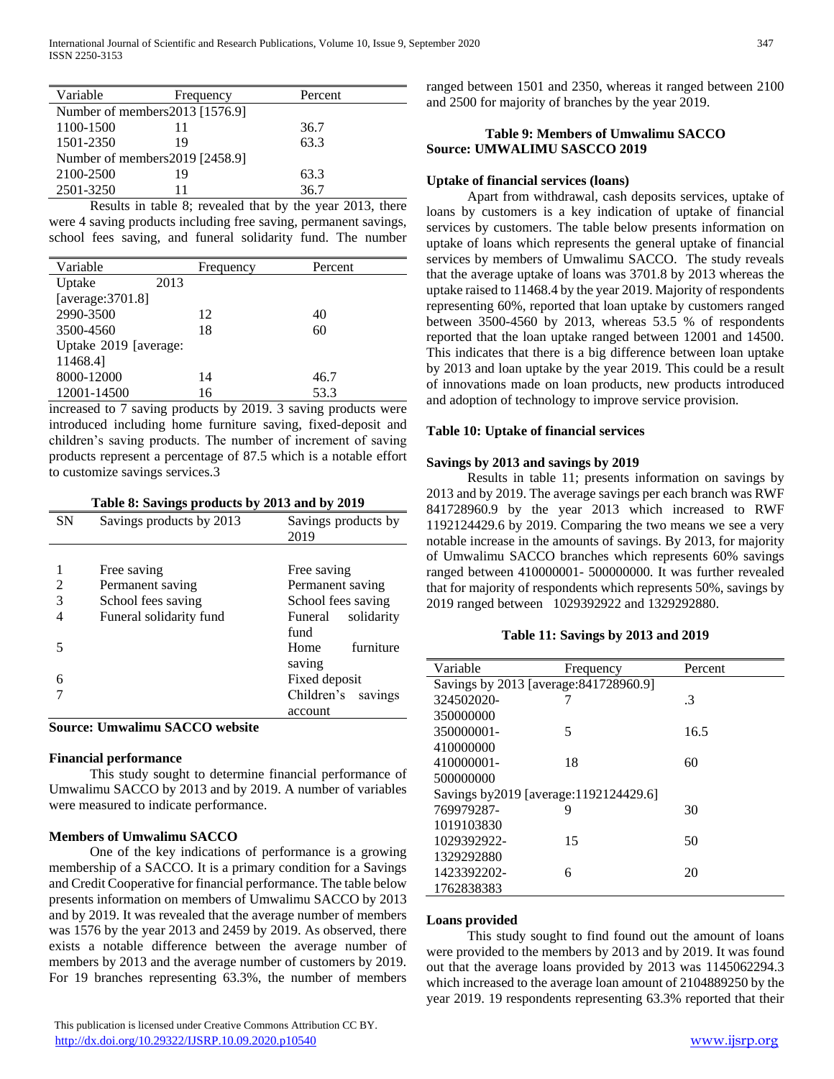| Variable                        | Frequency | Percent |  |
|---------------------------------|-----------|---------|--|
| Number of members 2013 [1576.9] |           |         |  |
| 1100-1500                       | 11        | 36.7    |  |
| 1501-2350                       | 19        | 63.3    |  |
| Number of members 2019 [2458.9] |           |         |  |
| 2100-2500                       | 19        | 63.3    |  |
| 2501-3250                       |           | 36.7    |  |

 Results in table 8; revealed that by the year 2013, there were 4 saving products including free saving, permanent savings, school fees saving, and funeral solidarity fund. The number

| Variable              |      | Frequency | Percent |
|-----------------------|------|-----------|---------|
| Uptake                | 2013 |           |         |
| [average: $3701.8$ ]  |      |           |         |
| 2990-3500             |      | 12        | 40      |
| 3500-4560             |      | 18        | 60      |
| Uptake 2019 [average: |      |           |         |
| 11468.41              |      |           |         |
| 8000-12000            |      | 14        | 46.7    |
| 12001-14500           |      | 16        | 53.3    |
|                       |      |           |         |

increased to 7 saving products by 2019. 3 saving products were introduced including home furniture saving, fixed-deposit and children's saving products. The number of increment of saving products represent a percentage of 87.5 which is a notable effort to customize savings services.3

**Table 8: Savings products by 2013 and by 2019**

| <b>SN</b> | Savings products by 2013 | Savings products by<br>2019 |
|-----------|--------------------------|-----------------------------|
|           |                          |                             |
|           | Free saving              | Free saving                 |
| 2         | Permanent saving         | Permanent saving            |
| 3         | School fees saving       | School fees saving          |
|           | Funeral solidarity fund  | solidarity<br>Funeral       |
|           |                          | fund                        |
|           |                          | furniture<br>Home           |
|           |                          | saving                      |
| 6         |                          | Fixed deposit               |
|           |                          | Children's savings          |
|           |                          | account                     |

**Source: Umwalimu SACCO website**

# **Financial performance**

 This study sought to determine financial performance of Umwalimu SACCO by 2013 and by 2019. A number of variables were measured to indicate performance.

# **Members of Umwalimu SACCO**

 One of the key indications of performance is a growing membership of a SACCO. It is a primary condition for a Savings and Credit Cooperative for financial performance. The table below presents information on members of Umwalimu SACCO by 2013 and by 2019. It was revealed that the average number of members was 1576 by the year 2013 and 2459 by 2019. As observed, there exists a notable difference between the average number of members by 2013 and the average number of customers by 2019. For 19 branches representing 63.3%, the number of members

ranged between 1501 and 2350, whereas it ranged between 2100 and 2500 for majority of branches by the year 2019.

# **Table 9: Members of Umwalimu SACCO Source: UMWALIMU SASCCO 2019**

# **Uptake of financial services (loans)**

 Apart from withdrawal, cash deposits services, uptake of loans by customers is a key indication of uptake of financial services by customers. The table below presents information on uptake of loans which represents the general uptake of financial services by members of Umwalimu SACCO. The study reveals that the average uptake of loans was 3701.8 by 2013 whereas the uptake raised to 11468.4 by the year 2019. Majority of respondents representing 60%, reported that loan uptake by customers ranged between 3500-4560 by 2013, whereas 53.5 % of respondents reported that the loan uptake ranged between 12001 and 14500. This indicates that there is a big difference between loan uptake by 2013 and loan uptake by the year 2019. This could be a result of innovations made on loan products, new products introduced and adoption of technology to improve service provision.

# **Table 10: Uptake of financial services**

# **Savings by 2013 and savings by 2019**

 Results in table 11; presents information on savings by 2013 and by 2019. The average savings per each branch was RWF 841728960.9 by the year 2013 which increased to RWF 1192124429.6 by 2019. Comparing the two means we see a very notable increase in the amounts of savings. By 2013, for majority of Umwalimu SACCO branches which represents 60% savings ranged between 410000001- 500000000. It was further revealed that for majority of respondents which represents 50%, savings by 2019 ranged between 1029392922 and 1329292880.

# **Table 11: Savings by 2013 and 2019**

| Variable                               | Frequency | Percent |
|----------------------------------------|-----------|---------|
|                                        |           |         |
| Savings by 2013 [average: 841728960.9] |           |         |
| 324502020-                             |           | .3      |
| 350000000                              |           |         |
| 350000001-                             | 5         | 16.5    |
| 410000000                              |           |         |
| 410000001-                             | 18        | 60      |
| 500000000                              |           |         |
| Savings by2019 [average:1192124429.6]  |           |         |
| 769979287-                             | 9         | 30      |
| 1019103830                             |           |         |
| 1029392922-                            | 15        | 50      |
| 1329292880                             |           |         |
| 1423392202-                            | 6         | 20      |
| 1762838383                             |           |         |

# **Loans provided**

 This study sought to find found out the amount of loans were provided to the members by 2013 and by 2019. It was found out that the average loans provided by 2013 was 1145062294.3 which increased to the average loan amount of 2104889250 by the year 2019. 19 respondents representing 63.3% reported that their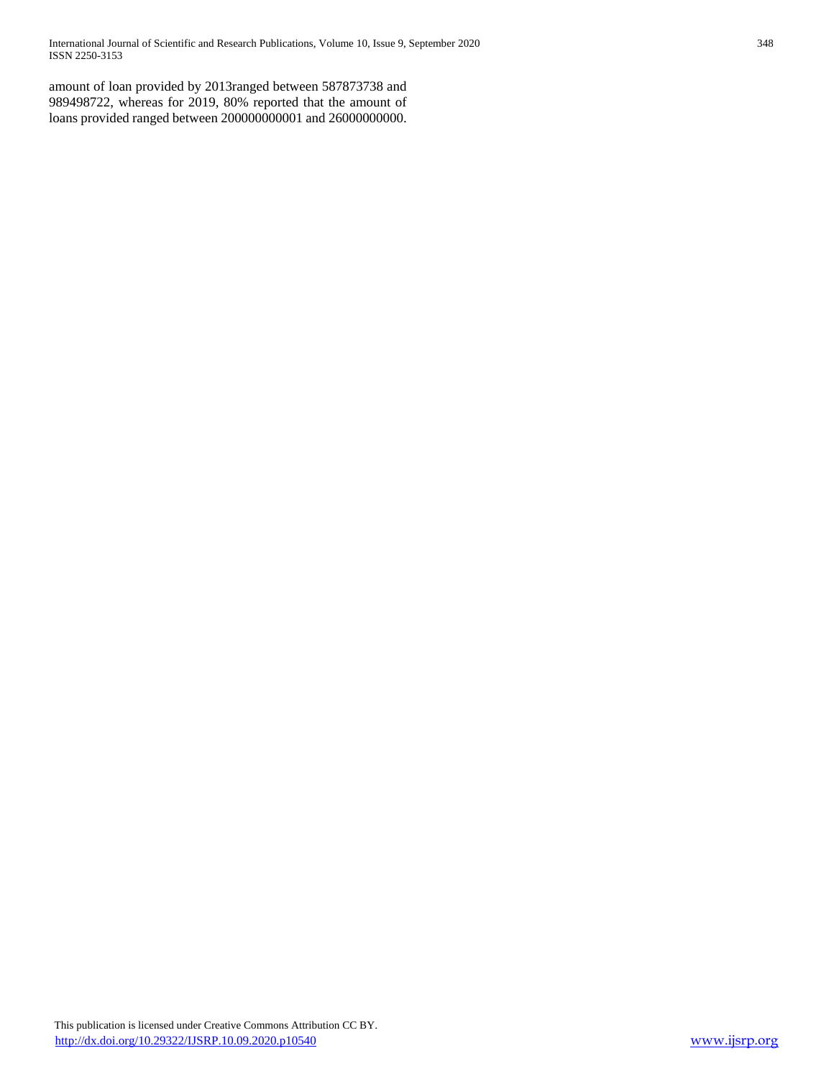International Journal of Scientific and Research Publications, Volume 10, Issue 9, September 2020 348 ISSN 2250-3153

amount of loan provided by 2013ranged between 587873738 and 989498722, whereas for 2019, 80% reported that the amount of loans provided ranged between 200000000001 and 26000000000.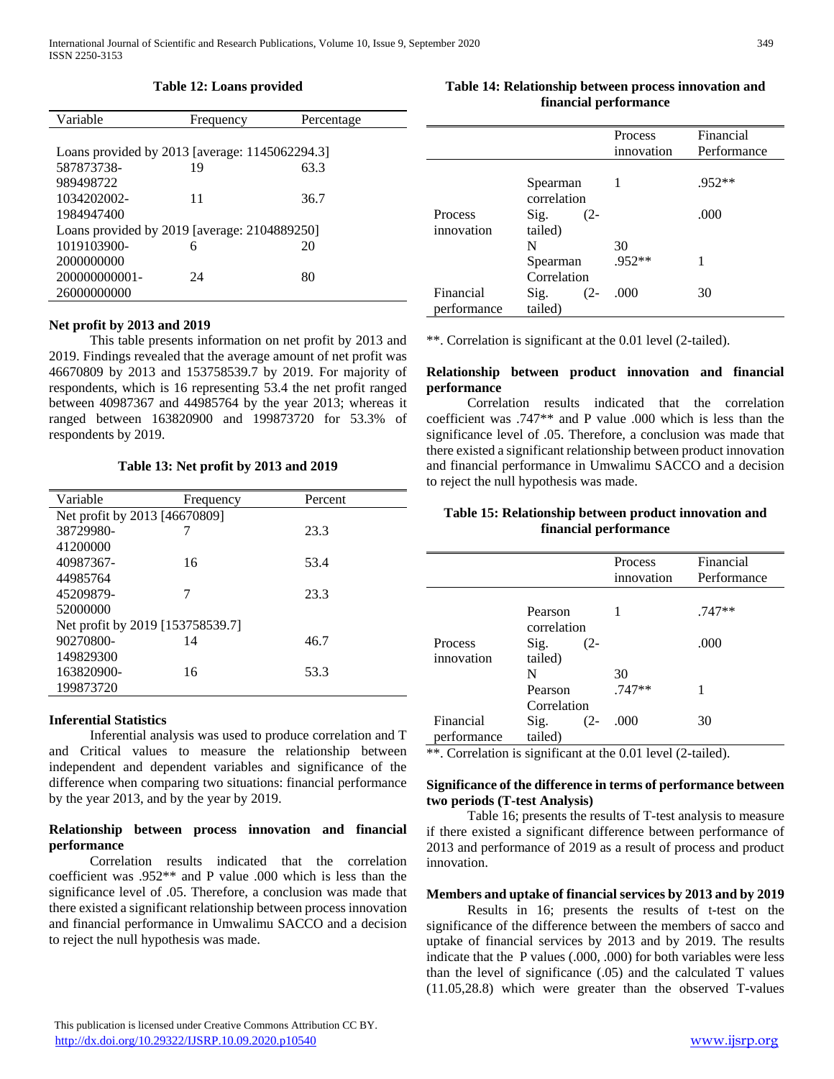## **Table 12: Loans provided**

| Variable                                       | Frequency | Percentage |  |
|------------------------------------------------|-----------|------------|--|
|                                                |           |            |  |
| Loans provided by 2013 [average: 1145062294.3] |           |            |  |
| 587873738-                                     | 19        | 63.3       |  |
| 989498722                                      |           |            |  |
| 1034202002-                                    | 11        | 36.7       |  |
| 1984947400                                     |           |            |  |
| Loans provided by 2019 [average: 2104889250]   |           |            |  |
| 1019103900-                                    | 6         | 20         |  |
| 2000000000                                     |           |            |  |
| 200000000001-                                  | 24        | 80         |  |
| 26000000000                                    |           |            |  |
|                                                |           |            |  |

#### **Net profit by 2013 and 2019**

 This table presents information on net profit by 2013 and 2019. Findings revealed that the average amount of net profit was 46670809 by 2013 and 153758539.7 by 2019. For majority of respondents, which is 16 representing 53.4 the net profit ranged between 40987367 and 44985764 by the year 2013; whereas it ranged between 163820900 and 199873720 for 53.3% of respondents by 2019.

## **Table 13: Net profit by 2013 and 2019**

| Variable                         | Frequency | Percent |  |  |  |  |  |
|----------------------------------|-----------|---------|--|--|--|--|--|
| Net profit by 2013 [46670809]    |           |         |  |  |  |  |  |
| 38729980-                        |           | 23.3    |  |  |  |  |  |
| 41200000                         |           |         |  |  |  |  |  |
| 40987367-                        | 16        | 53.4    |  |  |  |  |  |
| 44985764                         |           |         |  |  |  |  |  |
| 45209879-                        |           | 23.3    |  |  |  |  |  |
| 52000000                         |           |         |  |  |  |  |  |
| Net profit by 2019 [153758539.7] |           |         |  |  |  |  |  |
| 90270800-                        | 14        | 46.7    |  |  |  |  |  |
| 149829300                        |           |         |  |  |  |  |  |
| 163820900-                       | 16        | 53.3    |  |  |  |  |  |
| 199873720                        |           |         |  |  |  |  |  |

#### **Inferential Statistics**

 Inferential analysis was used to produce correlation and T and Critical values to measure the relationship between independent and dependent variables and significance of the difference when comparing two situations: financial performance by the year 2013, and by the year by 2019.

# **Relationship between process innovation and financial performance**

 Correlation results indicated that the correlation coefficient was .952\*\* and P value .000 which is less than the significance level of .05. Therefore, a conclusion was made that there existed a significant relationship between process innovation and financial performance in Umwalimu SACCO and a decision to reject the null hypothesis was made.

# **Table 14: Relationship between process innovation and financial performance**

|             |                         | <b>Process</b><br>innovation | Financial<br>Performance |
|-------------|-------------------------|------------------------------|--------------------------|
|             | Spearman<br>correlation |                              | $.952**$                 |
| Process     | Sig.<br>$(2 -$          |                              | .000                     |
| innovation  | tailed)                 |                              |                          |
|             | N                       | 30                           |                          |
|             | Spearman                | $.952**$                     |                          |
|             | Correlation             |                              |                          |
| Financial   | Sig.<br>$(2 -$          | .000                         | 30                       |
| performance | tailed)                 |                              |                          |

\*\*. Correlation is significant at the 0.01 level (2-tailed).

## **Relationship between product innovation and financial performance**

 Correlation results indicated that the correlation coefficient was .747\*\* and P value .000 which is less than the significance level of .05. Therefore, a conclusion was made that there existed a significant relationship between product innovation and financial performance in Umwalimu SACCO and a decision to reject the null hypothesis was made.

# **Table 15: Relationship between product innovation and financial performance**

|             |                        | Process<br>innovation | Financial<br>Performance |
|-------------|------------------------|-----------------------|--------------------------|
|             | Pearson<br>correlation |                       | $.747**$                 |
| Process     | Sig.<br>$(2 -$         |                       | .000                     |
| innovation  | tailed)                |                       |                          |
|             | N                      | 30                    |                          |
|             | Pearson                | .747**                |                          |
|             | Correlation            |                       |                          |
| Financial   | Sig.<br>$(2 -$         | .000                  | 30                       |
| performance | tailed)                |                       |                          |

\*\*. Correlation is significant at the 0.01 level (2-tailed).

## **Significance of the difference in terms of performance between two periods (T-test Analysis)**

 Table 16; presents the results of T-test analysis to measure if there existed a significant difference between performance of 2013 and performance of 2019 as a result of process and product innovation.

#### **Members and uptake of financial services by 2013 and by 2019**

 Results in 16; presents the results of t-test on the significance of the difference between the members of sacco and uptake of financial services by 2013 and by 2019. The results indicate that the P values (.000, .000) for both variables were less than the level of significance (.05) and the calculated T values (11.05,28.8) which were greater than the observed T-values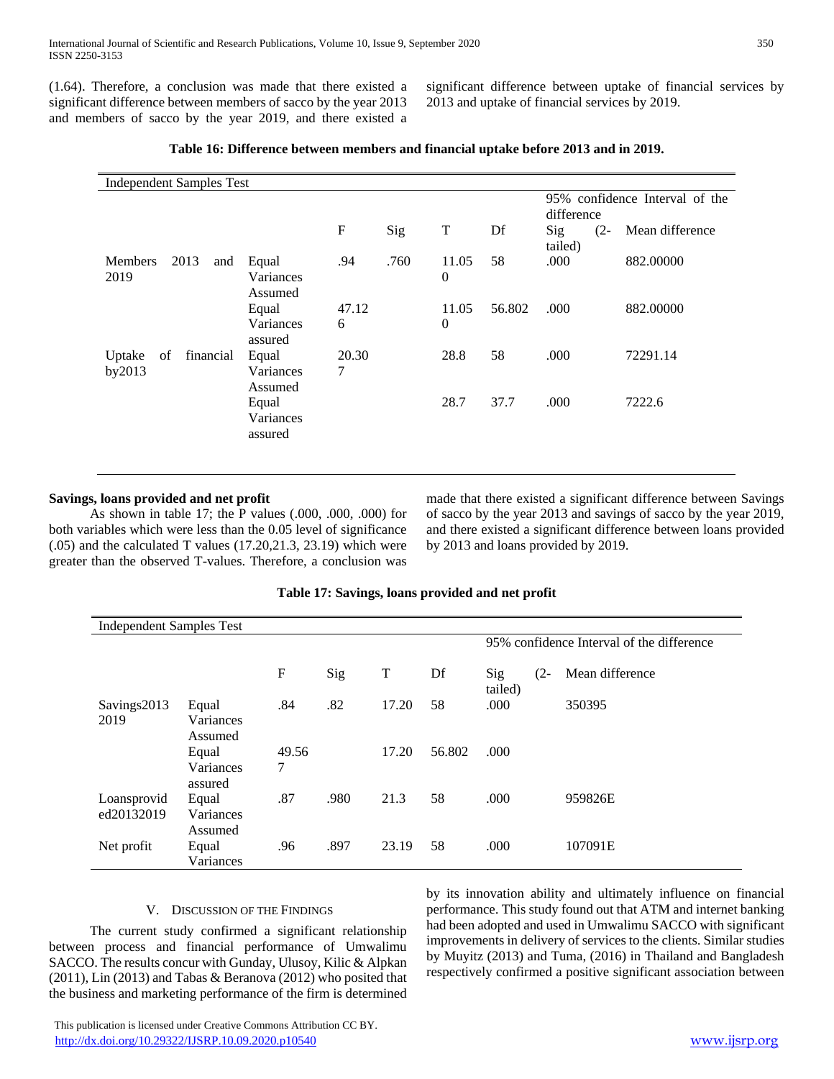(1.64). Therefore, a conclusion was made that there existed a significant difference between members of sacco by the year 2013 and members of sacco by the year 2019, and there existed a

significant difference between uptake of financial services by 2013 and uptake of financial services by 2019.

| <b>Independent Samples Test</b>       |                               |            |      |                   |                                              |                          |                 |
|---------------------------------------|-------------------------------|------------|------|-------------------|----------------------------------------------|--------------------------|-----------------|
|                                       |                               |            |      |                   | 95% confidence Interval of the<br>difference |                          |                 |
|                                       |                               | ${\bf F}$  | Sig  | T                 | Df                                           | Sig<br>$(2 -$<br>tailed) | Mean difference |
| 2013<br><b>Members</b><br>and<br>2019 | Equal<br>Variances<br>Assumed | .94        | .760 | 11.05<br>$\theta$ | 58                                           | .000                     | 882.00000       |
|                                       | Equal<br>Variances<br>assured | 47.12<br>6 |      | 11.05<br>$\theta$ | 56.802                                       | .000                     | 882.00000       |
| financial<br>Uptake<br>of<br>by2013   | Equal<br>Variances<br>Assumed | 20.30<br>7 |      | 28.8              | 58                                           | .000                     | 72291.14        |
|                                       | Equal<br>Variances<br>assured |            |      | 28.7              | 37.7                                         | .000                     | 7222.6          |

## **Table 16: Difference between members and financial uptake before 2013 and in 2019.**

# **Savings, loans provided and net profit**

 As shown in table 17; the P values (.000, .000, .000) for both variables which were less than the 0.05 level of significance  $(.05)$  and the calculated T values  $(17.20,21.3, 23.19)$  which were greater than the observed T-values. Therefore, a conclusion was

made that there existed a significant difference between Savings of sacco by the year 2013 and savings of sacco by the year 2019, and there existed a significant difference between loans provided by 2013 and loans provided by 2019.

# **Table 17: Savings, loans provided and net profit**

| <b>Independent Samples Test</b> |                               |                           |      |       |        |                                           |        |                 |
|---------------------------------|-------------------------------|---------------------------|------|-------|--------|-------------------------------------------|--------|-----------------|
|                                 |                               |                           |      |       |        | 95% confidence Interval of the difference |        |                 |
|                                 |                               | $\boldsymbol{\mathrm{F}}$ | Sig  | T     | Df     | Sig<br>tailed)                            | $(2 -$ | Mean difference |
| Savings2013<br>2019             | Equal<br>Variances<br>Assumed | .84                       | .82  | 17.20 | 58     | .000                                      |        | 350395          |
|                                 | Equal<br>Variances<br>assured | 49.56<br>7                |      | 17.20 | 56.802 | .000                                      |        |                 |
| Loansprovid<br>ed20132019       | Equal<br>Variances<br>Assumed | .87                       | .980 | 21.3  | 58     | .000                                      |        | 959826E         |
| Net profit                      | Equal<br>Variances            | .96                       | .897 | 23.19 | 58     | .000                                      |        | 107091E         |

#### V. DISCUSSION OF THE FINDINGS

 The current study confirmed a significant relationship between process and financial performance of Umwalimu SACCO. The results concur with Gunday, Ulusoy, Kilic & Alpkan (2011), Lin (2013) and Tabas & Beranova (2012) who posited that the business and marketing performance of the firm is determined

by its innovation ability and ultimately influence on financial performance. This study found out that ATM and internet banking had been adopted and used in Umwalimu SACCO with significant improvements in delivery of services to the clients. Similar studies by Muyitz (2013) and Tuma, (2016) in Thailand and Bangladesh respectively confirmed a positive significant association between